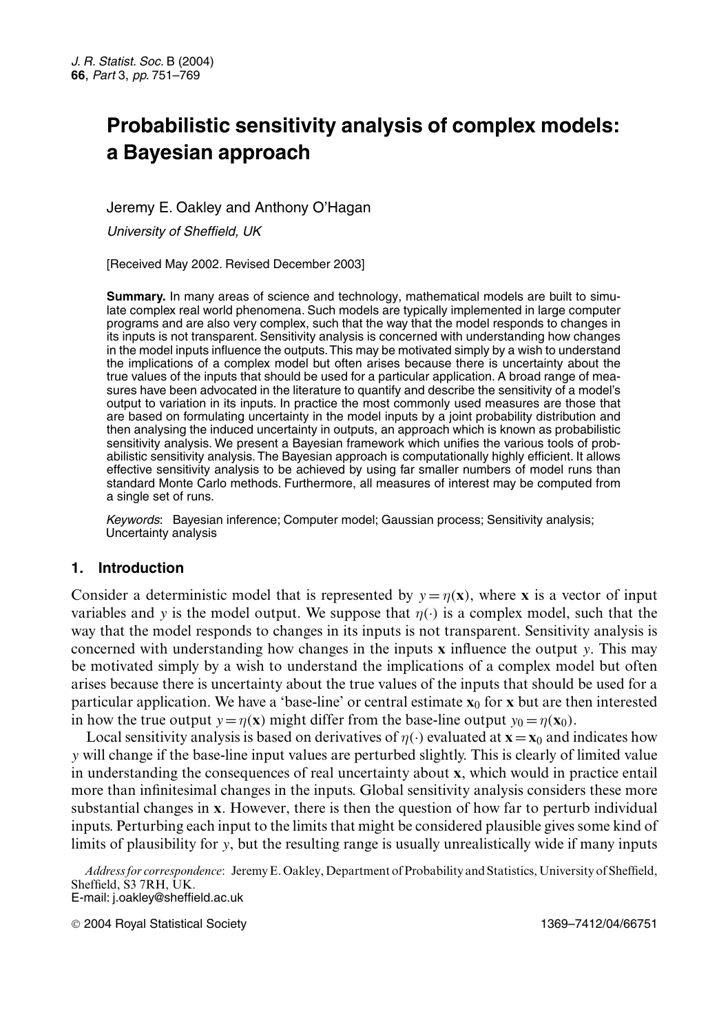# **Probabilistic sensitivity analysis of complex models: a Bayesian approach**

# Jeremy E. Oakley and Anthony O'Hagan

*University of Sheffield, UK*

[Received May 2002. Revised December 2003]

**Summary.** In many areas of science and technology, mathematical models are built to simulate complex real world phenomena. Such models are typically implemented in large computer programs and are also very complex, such that the way that the model responds to changes in its inputs is not transparent. Sensitivity analysis is concerned with understanding how changes in the model inputs influence the outputs.This may be motivated simply by a wish to understand the implications of a complex model but often arises because there is uncertainty about the true values of the inputs that should be used for a particular application. A broad range of measures have been advocated in the literature to quantify and describe the sensitivity of a model's output to variation in its inputs. In practice the most commonly used measures are those that are based on formulating uncertainty in the model inputs by a joint probability distribution and then analysing the induced uncertainty in outputs, an approach which is known as probabilistic sensitivity analysis. We present a Bayesian framework which unifies the various tools of probabilistic sensitivity analysis. The Bayesian approach is computationally highly efficient. It allows effective sensitivity analysis to be achieved by using far smaller numbers of model runs than standard Monte Carlo methods. Furthermore, all measures of interest may be computed from a single set of runs.

*Keywords*: Bayesian inference; Computer model; Gaussian process; Sensitivity analysis; Uncertainty analysis

# **1. Introduction**

Consider a deterministic model that is represented by  $y = \eta(x)$ , where **x** is a vector of input variables and y is the model output. We suppose that  $\eta(\cdot)$  is a complex model, such that the way that the model responds to changes in its inputs is not transparent. Sensitivity analysis is concerned with understanding how changes in the inputs **x** influence the output <sup>y</sup>. This may be motivated simply by a wish to understand the implications of a complex model but often arises because there is uncertainty about the true values of the inputs that should be used for a particular application. We have a 'base-line' or central estimate  $\mathbf{x}_0$  for **x** but are then interested in how the true output  $y = \eta(x)$  might differ from the base-line output  $y_0 = \eta(x_0)$ .

Local sensitivity analysis is based on derivatives of  $\eta(\cdot)$  evaluated at  $\mathbf{x} = \mathbf{x}_0$  and indicates how y will change if the base-line input values are perturbed slightly. This is clearly of limited value in understanding the consequences of real uncertainty about **x**, which would in practice entail more than infinitesimal changes in the inputs. Global sensitivity analysis considers these more substantial changes in **x**. However, there is then the question of how far to perturb individual inputs. Perturbing each input to the limits that might be considered plausible gives some kind of limits of plausibility for y, but the resulting range is usually unrealistically wide if many inputs

*Address for correspondence*: Jeremy E. Oakley, Department of Probability and Statistics, University of Sheffield, Sheffield, S3 7RH, UK. E-mail: j.oakley@sheffield.ac.uk

2004 Royal Statistical Society 1369–7412/04/66751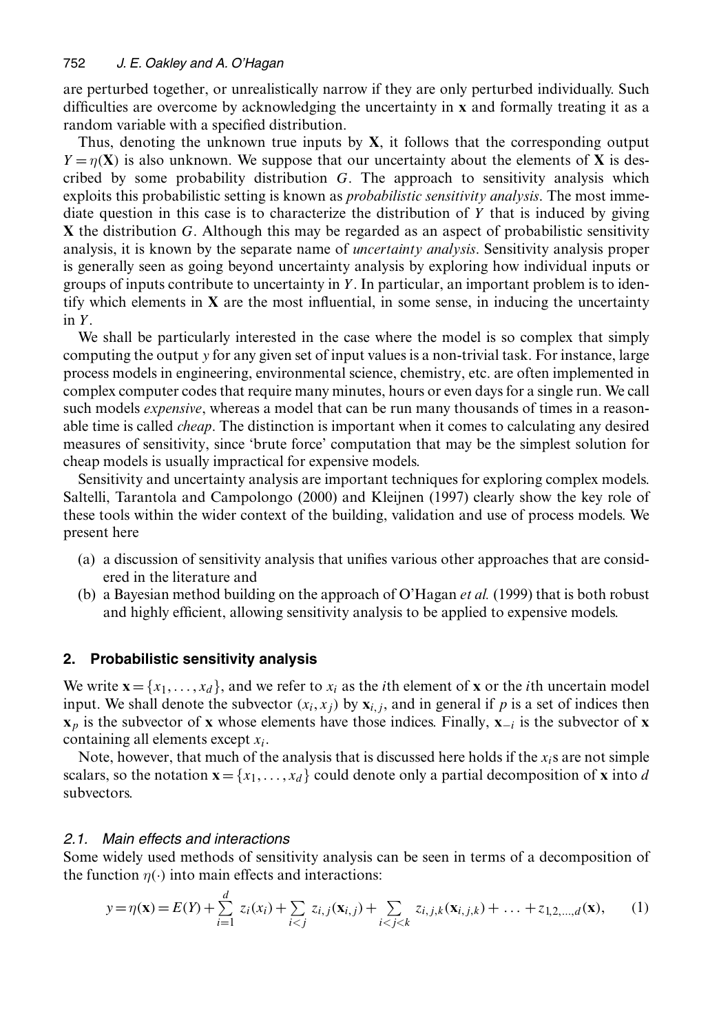are perturbed together, or unrealistically narrow if they are only perturbed individually. Such difficulties are overcome by acknowledging the uncertainty in **x** and formally treating it as a random variable with a specified distribution.

Thus, denoting the unknown true inputs by **X**, it follows that the corresponding output  $Y = \eta(X)$  is also unknown. We suppose that our uncertainty about the elements of X is described by some probability distribution  $G$ . The approach to sensitivity analysis which exploits this probabilistic setting is known as *probabilistic sensitivity analysis*. The most immediate question in this case is to characterize the distribution of  $Y$  that is induced by giving **X** the distribution <sup>G</sup>. Although this may be regarded as an aspect of probabilistic sensitivity analysis, it is known by the separate name of *uncertainty analysis*. Sensitivity analysis proper is generally seen as going beyond uncertainty analysis by exploring how individual inputs or groups of inputs contribute to uncertainty in  $Y$ . In particular, an important problem is to identify which elements in **X** are the most influential, in some sense, in inducing the uncertainty in Y.

We shall be particularly interested in the case where the model is so complex that simply computing the output y for any given set of input values is a non-trivial task. For instance, large process models in engineering, environmental science, chemistry, etc. are often implemented in complex computer codes that require many minutes, hours or even days for a single run. We call such models *expensive*, whereas a model that can be run many thousands of times in a reasonable time is called *cheap*. The distinction is important when it comes to calculating any desired measures of sensitivity, since 'brute force' computation that may be the simplest solution for cheap models is usually impractical for expensive models.

Sensitivity and uncertainty analysis are important techniques for exploring complex models. Saltelli, Tarantola and Campolongo (2000) and Kleijnen (1997) clearly show the key role of these tools within the wider context of the building, validation and use of process models. We present here

- (a) a discussion of sensitivity analysis that unifies various other approaches that are considered in the literature and
- (b) a Bayesian method building on the approach of O'Hagan *et al.* (1999) that is both robust and highly efficient, allowing sensitivity analysis to be applied to expensive models.

# **2. Probabilistic sensitivity analysis**

We write  $\mathbf{x} = \{x_1, \ldots, x_d\}$ , and we refer to  $x_i$  as the *i*th element of **x** or the *i*th uncertain model input. We shall denote the subvector  $(x_i, x_j)$  by  $\mathbf{x}_{i,j}$ , and in general if p is a set of indices then  $\mathbf{x}_p$  is the subvector of **x** whose elements have those indices. Finally,  $\mathbf{x}_{-i}$  is the subvector of **x** containing all elements except  $x_i$ .

Note, however, that much of the analysis that is discussed here holds if the  $x_i$ s are not simple scalars, so the notation  $\mathbf{x} = \{x_1, \ldots, x_d\}$  could denote only a partial decomposition of **x** into d subvectors.

# *2.1. Main effects and interactions*

Some widely used methods of sensitivity analysis can be seen in terms of a decomposition of the function  $\eta(\cdot)$  into main effects and interactions:

$$
y = \eta(\mathbf{x}) = E(Y) + \sum_{i=1}^{d} z_i(x_i) + \sum_{i < j} z_{i,j}(\mathbf{x}_{i,j}) + \sum_{i < j < k} z_{i,j,k}(\mathbf{x}_{i,j,k}) + \dots + z_{1,2,\dots,d}(\mathbf{x}),\tag{1}
$$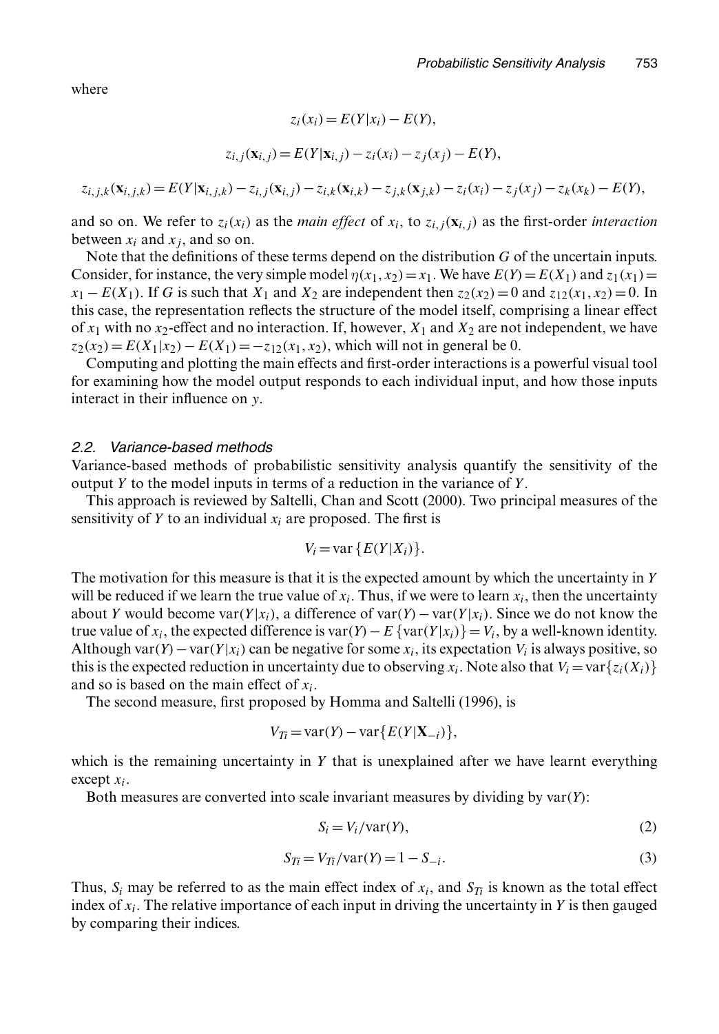where

$$
z_i(x_i) = E(Y|x_i) - E(Y),
$$

$$
z_{i,j}(\mathbf{x}_{i,j}) = E(Y|\mathbf{x}_{i,j}) - z_i(x_i) - z_j(x_j) - E(Y),
$$

$$
z_{i,j,k}(\mathbf{x}_{i,j,k}) = E(Y|\mathbf{x}_{i,j,k}) - z_{i,j}(\mathbf{x}_{i,j}) - z_{i,k}(\mathbf{x}_{i,k}) - z_{j,k}(\mathbf{x}_{j,k}) - z_i(x_i) - z_j(x_j) - z_k(x_k) - E(Y),
$$

and so on. We refer to  $z_i(x_i)$  as the *main effect* of  $x_i$ , to  $z_i$ ,  $(\mathbf{x}_i, j)$  as the first-order *interaction* between  $x_i$  and  $x_j$ , and so on.

Note that the definitions of these terms depend on the distribution  $G$  of the uncertain inputs. Consider, for instance, the very simple model  $\eta(x_1, x_2) = x_1$ . We have  $E(Y) = E(X_1)$  and  $z_1(x_1) =$  $x_1 - E(X_1)$ . If G is such that  $X_1$  and  $X_2$  are independent then  $z_2(x_2) = 0$  and  $z_{12}(x_1, x_2) = 0$ . In this case, the representation reflects the structure of the model itself, comprising a linear effect of  $x_1$  with no  $x_2$ -effect and no interaction. If, however,  $X_1$  and  $X_2$  are not independent, we have  $z_2(x_2)=E(X_1|x_2)-E(X_1)=-z_{12}(x_1, x_2)$ , which will not in general be 0.

Computing and plotting the main effects and first-order interactions is a powerful visual tool for examining how the model output responds to each individual input, and how those inputs interact in their influence on y.

### *2.2. Variance-based methods*

Variance-based methods of probabilistic sensitivity analysis quantify the sensitivity of the output Y to the model inputs in terms of a reduction in the variance of  $Y$ .

This approach is reviewed by Saltelli, Chan and Scott (2000). Two principal measures of the sensitivity of Y to an individual  $x_i$  are proposed. The first is

$$
V_i = \text{var}\{E(Y|X_i)\}.
$$

The motivation for this measure is that it is the expected amount by which the uncertainty in Y will be reduced if we learn the true value of  $x_i$ . Thus, if we were to learn  $x_i$ , then the uncertainty about Y would become var $(Y|x_i)$ , a difference of var $(Y)$  – var $(Y|x_i)$ . Since we do not know the true value of  $x_i$ , the expected difference is var $(Y) - E$  {var $(Y|x_i)$ }=  $V_i$ , by a well-known identity. Although var $(Y)$  – var $(Y|x_i)$  can be negative for some  $x_i$ , its expectation  $V_i$  is always positive, so this is the expected reduction in uncertainty due to observing  $x_i$ . Note also that  $V_i = \text{var}\{z_i(X_i)\}\$ and so is based on the main effect of  $x_i$ .

The second measure, first proposed by Homma and Saltelli (1996), is

$$
V_{Ti} = \text{var}(Y) - \text{var}\{E(Y|\mathbf{X}_{-i})\},\
$$

which is the remaining uncertainty in  $Y$  that is unexplained after we have learnt everything except  $x_i$ .

Both measures are converted into scale invariant measures by dividing by  $var(Y)$ :

$$
S_i = V_i / \text{var}(Y),\tag{2}
$$

$$
S_{Ti} = V_{Ti}/\text{var}(Y) = 1 - S_{-i}.\tag{3}
$$

Thus,  $S_i$  may be referred to as the main effect index of  $x_i$ , and  $S_T$  is known as the total effect index of  $x_i$ . The relative importance of each input in driving the uncertainty in Y is then gauged by comparing their indices.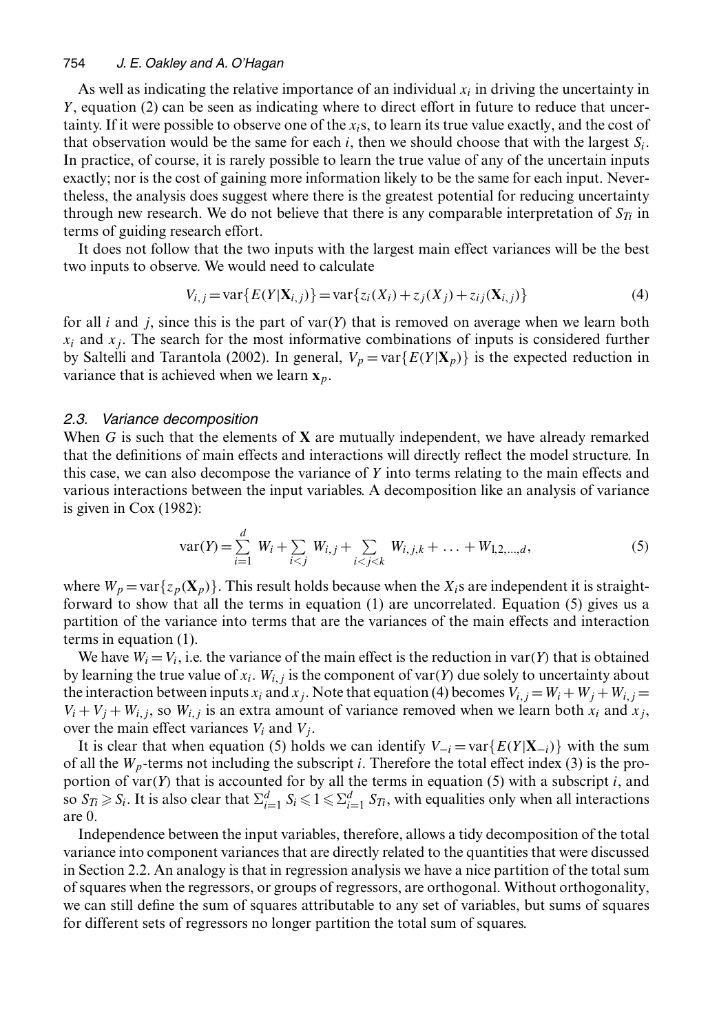#### 754 *J. E. Oakley and A. O'Hagan*

As well as indicating the relative importance of an individual  $x_i$  in driving the uncertainty in Y, equation (2) can be seen as indicating where to direct effort in future to reduce that uncertainty. If it were possible to observe one of the xis, to learn its true value exactly, and the cost of that observation would be the same for each i, then we should choose that with the largest  $S_i$ . In practice, of course, it is rarely possible to learn the true value of any of the uncertain inputs exactly; nor is the cost of gaining more information likely to be the same for each input. Nevertheless, the analysis does suggest where there is the greatest potential for reducing uncertainty through new research. We do not believe that there is any comparable interpretation of  $S_{T_i}$  in terms of guiding research effort.

It does not follow that the two inputs with the largest main effect variances will be the best two inputs to observe. We would need to calculate

$$
V_{i,j} = \text{var}\{E(Y|X_{i,j})\} = \text{var}\{z_i(X_i) + z_j(X_j) + z_{ij}(X_{i,j})\}
$$
(4)

for all i and j, since this is the part of var $(Y)$  that is removed on average when we learn both  $x_i$  and  $x_j$ . The search for the most informative combinations of inputs is considered further by Saltelli and Tarantola (2002). In general,  $V_p = \text{var}\{E(Y|\mathbf{X}_p)\}$  is the expected reduction in variance that is achieved when we learn  $\mathbf{x}_p$ .

### *2.3. Variance decomposition*

When <sup>G</sup> is such that the elements of **X** are mutually independent, we have already remarked that the definitions of main effects and interactions will directly reflect the model structure. In this case, we can also decompose the variance of  $Y$  into terms relating to the main effects and various interactions between the input variables. A decomposition like an analysis of variance is given in Cox (1982):

$$
var(Y) = \sum_{i=1}^{d} W_i + \sum_{i < j} W_{i,j} + \sum_{i < j < k} W_{i,j,k} + \dots + W_{1,2,\dots,d},\tag{5}
$$

where  $W_p = \text{var}\{z_p(\mathbf{X}_p)\}\.$  This result holds because when the  $X_i$ s are independent it is straightforward to show that all the terms in equation (1) are uncorrelated. Equation (5) gives us a partition of the variance into terms that are the variances of the main effects and interaction terms in equation (1).

We have  $W_i = V_i$ , i.e. the variance of the main effect is the reduction in var $(Y)$  that is obtained by learning the true value of  $x_i$ .  $W_{i,j}$  is the component of var $(Y)$  due solely to uncertainty about the interaction between inputs  $x_i$  and  $x_j$ . Note that equation (4) becomes  $V_{i,j} = W_i + W_j + W_{i,j} = W_i$  $V_i + V_j + W_{i,j}$ , so  $W_{i,j}$  is an extra amount of variance removed when we learn both  $x_i$  and  $x_j$ , over the main effect variances  $V_i$  and  $V_j$ .

It is clear that when equation (5) holds we can identify  $V_{-i} = \text{var}\{E(Y|\mathbf{X}_{-i})\}$  with the sum of all the  $W_p$ -terms not including the subscript *i*. Therefore the total effect index (3) is the proportion of var $(Y)$  that is accounted for by all the terms in equation (5) with a subscript i, and so  $S_{Ti} \ge S_i$ . It is also clear that  $\Sigma_{i=1}^d S_i \le 1 \le \Sigma_{i=1}^d S_{Ti}$ , with equalities only when all interactions are 0.

Independence between the input variables, therefore, allows a tidy decomposition of the total variance into component variances that are directly related to the quantities that were discussed in Section 2.2. An analogy is that in regression analysis we have a nice partition of the total sum of squares when the regressors, or groups of regressors, are orthogonal. Without orthogonality, we can still define the sum of squares attributable to any set of variables, but sums of squares for different sets of regressors no longer partition the total sum of squares.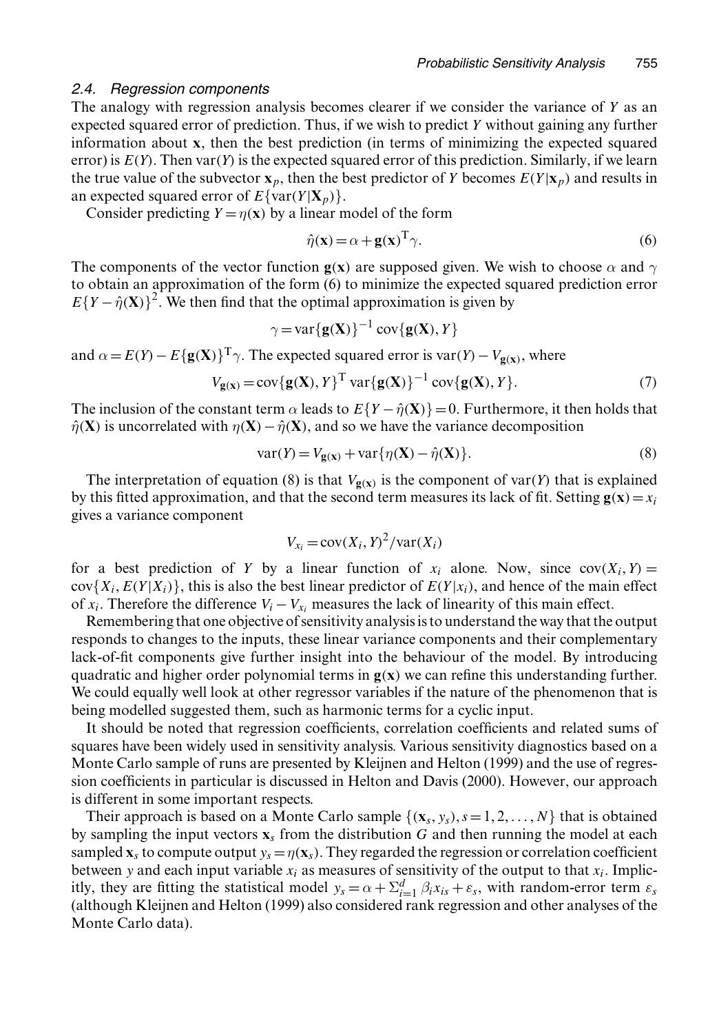### *2.4. Regression components*

The analogy with regression analysis becomes clearer if we consider the variance of Y as an expected squared error of prediction. Thus, if we wish to predict Y without gaining any further information about **x**, then the best prediction (in terms of minimizing the expected squared error) is  $E(Y)$ . Then var $(Y)$  is the expected squared error of this prediction. Similarly, if we learn the true value of the subvector  $\mathbf{x}_p$ , then the best predictor of Y becomes  $E(Y|\mathbf{x}_p)$  and results in an expected squared error of  $E\{\text{var}(Y|\mathbf{X}_p)\}\.$ 

Consider predicting  $Y = \eta(x)$  by a linear model of the form

$$
\hat{\eta}(\mathbf{x}) = \alpha + \mathbf{g}(\mathbf{x})^{\mathrm{T}} \gamma.
$$
\n(6)

The components of the vector function **g**(**x**) are supposed given. We wish to choose  $\alpha$  and  $\gamma$ to obtain an approximation of the form (6) to minimize the expected squared prediction error  $E{Y - \hat{\eta}(X)}^2$ . We then find that the optimal approximation is given by

$$
\gamma = \text{var}\{\mathbf{g}(\mathbf{X})\}^{-1} \text{cov}\{\mathbf{g}(\mathbf{X}), Y\}
$$

and  $\alpha = E(Y) - E{\bf g(X)}^T\gamma$ . The expected squared error is var $(Y) - V_{\bf g(x)}$ , where

$$
V_{\mathbf{g}(\mathbf{x})} = \text{cov}\{\mathbf{g}(\mathbf{X}), Y\}^{\text{T}} \text{ var}\{\mathbf{g}(\mathbf{X})\}^{-1} \text{ cov}\{\mathbf{g}(\mathbf{X}), Y\}. \tag{7}
$$

The inclusion of the constant term  $\alpha$  leads to  $E\{Y - \hat{\eta}(\mathbf{X})\} = 0$ . Furthermore, it then holds that  $\hat{\eta}$ .**X**) is uncorrelated with  $\eta$ .**X**) −  $\hat{\eta}$ .**X**), and so we have the variance decomposition

$$
var(Y) = V_{g(x)} + var\{\eta(\mathbf{X}) - \hat{\eta}(\mathbf{X})\}.
$$
\n(8)

The interpretation of equation (8) is that  $V_{\mathbf{g}(\mathbf{x})}$  is the component of var $(Y)$  that is explained by this fitted approximation, and that the second term measures its lack of fit. Setting  $\mathbf{g}(\mathbf{x}) = x_i$ gives a variance component

$$
V_{x_i} = \text{cov}(X_i, Y)^2 / \text{var}(X_i)
$$

for a best prediction of Y by a linear function of  $x_i$  alone. Now, since  $cov(X_i, Y) =$  $cov{X_i, E(Y|X_i)}$ , this is also the best linear predictor of  $E(Y|x_i)$ , and hence of the main effect of  $x_i$ . Therefore the difference  $V_i - V_{x_i}$  measures the lack of linearity of this main effect.

Remembering that one objective of sensitivity analysis is to understand the way that the output responds to changes to the inputs, these linear variance components and their complementary lack-of-fit components give further insight into the behaviour of the model. By introducing quadratic and higher order polynomial terms in  $g(x)$  we can refine this understanding further. We could equally well look at other regressor variables if the nature of the phenomenon that is being modelled suggested them, such as harmonic terms for a cyclic input.

It should be noted that regression coefficients, correlation coefficients and related sums of squares have been widely used in sensitivity analysis. Various sensitivity diagnostics based on a Monte Carlo sample of runs are presented by Kleijnen and Helton (1999) and the use of regression coefficients in particular is discussed in Helton and Davis (2000). However, our approach is different in some important respects.

Their approach is based on a Monte Carlo sample  $\{(\mathbf{x}_s, y_s), s=1, 2, \ldots, N\}$  that is obtained by sampling the input vectors  $\mathbf{x}_s$  from the distribution G and then running the model at each sampled  $\mathbf{x}_s$  to compute output  $y_s = \eta(\mathbf{x}_s)$ . They regarded the regression or correlation coefficient between y and each input variable  $x_i$  as measures of sensitivity of the output to that  $x_i$ . Implicitly, they are fitting the statistical model  $y_s = \alpha + \sum_{i=1}^d \beta_i x_{is} + \varepsilon_s$ , with random-error term  $\varepsilon_s$ (although Kleijnen and Helton (1999) also considered rank regression and other analyses of the Monte Carlo data).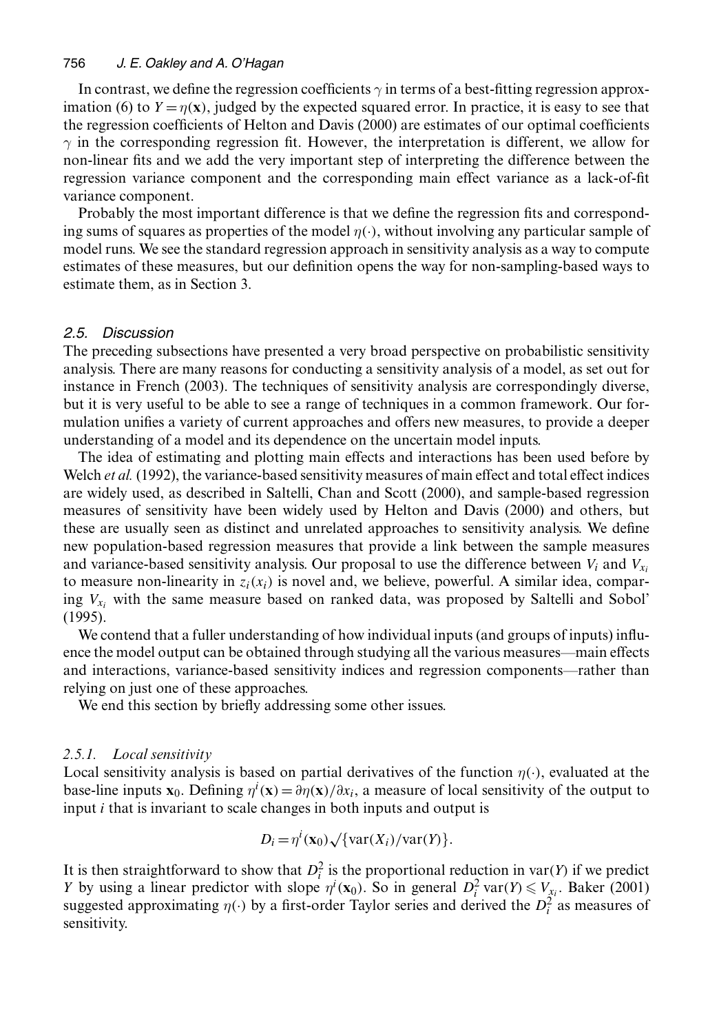#### 756 *J. E. Oakley and A. O'Hagan*

In contrast, we define the regression coefficients  $\gamma$  in terms of a best-fitting regression approximation (6) to  $Y = \eta(x)$ , judged by the expected squared error. In practice, it is easy to see that the regression coefficients of Helton and Davis (2000) are estimates of our optimal coefficients  $\gamma$  in the corresponding regression fit. However, the interpretation is different, we allow for non-linear fits and we add the very important step of interpreting the difference between the regression variance component and the corresponding main effect variance as a lack-of-fit variance component.

Probably the most important difference is that we define the regression fits and corresponding sums of squares as properties of the model  $\eta(\cdot)$ , without involving any particular sample of model runs. We see the standard regression approach in sensitivity analysis as a way to compute estimates of these measures, but our definition opens the way for non-sampling-based ways to estimate them, as in Section 3.

### *2.5. Discussion*

The preceding subsections have presented a very broad perspective on probabilistic sensitivity analysis. There are many reasons for conducting a sensitivity analysis of a model, as set out for instance in French (2003). The techniques of sensitivity analysis are correspondingly diverse, but it is very useful to be able to see a range of techniques in a common framework. Our formulation unifies a variety of current approaches and offers new measures, to provide a deeper understanding of a model and its dependence on the uncertain model inputs.

The idea of estimating and plotting main effects and interactions has been used before by Welch *et al.* (1992), the variance-based sensitivity measures of main effect and total effect indices are widely used, as described in Saltelli, Chan and Scott (2000), and sample-based regression measures of sensitivity have been widely used by Helton and Davis (2000) and others, but these are usually seen as distinct and unrelated approaches to sensitivity analysis. We define new population-based regression measures that provide a link between the sample measures and variance-based sensitivity analysis. Our proposal to use the difference between  $V_i$  and  $V_{x_i}$ to measure non-linearity in  $z_i(x_i)$  is novel and, we believe, powerful. A similar idea, comparing  $V_{x_i}$  with the same measure based on ranked data, was proposed by Saltelli and Sobol' (1995).

We contend that a fuller understanding of how individual inputs (and groups of inputs) influence the model output can be obtained through studying all the various measures—main effects and interactions, variance-based sensitivity indices and regression components—rather than relying on just one of these approaches.

We end this section by briefly addressing some other issues.

### *2.5.1. Local sensitivity*

Local sensitivity analysis is based on partial derivatives of the function  $\eta(\cdot)$ , evaluated at the base-line inputs  $\mathbf{x}_0$ . Defining  $\eta^i(\mathbf{x}) = \frac{\partial \eta(\mathbf{x})}{\partial x_i}$ , a measure of local sensitivity of the output to input *i* that is invariant to scale changes in both inputs and output is input i that is invariant to scale changes in both inputs and output is

$$
D_i = \eta^i(\mathbf{x}_0) \sqrt{\{\text{var}(X_i)/\text{var}(Y)}\}.
$$

It is then straightforward to show that  $D_i^2$  is the proportional reduction in var(Y) if we predict Y by using a linear predictor with slope  $\eta^i(\mathbf{x}_0)$ . So in general  $D_i^2$  var $(Y) \leq V_{x_i}$ . Baker (2001) suggested approximating  $\eta(\cdot)$  by a first-order Taylor series and derived the  $D_i^2$  as measures of sensitivity.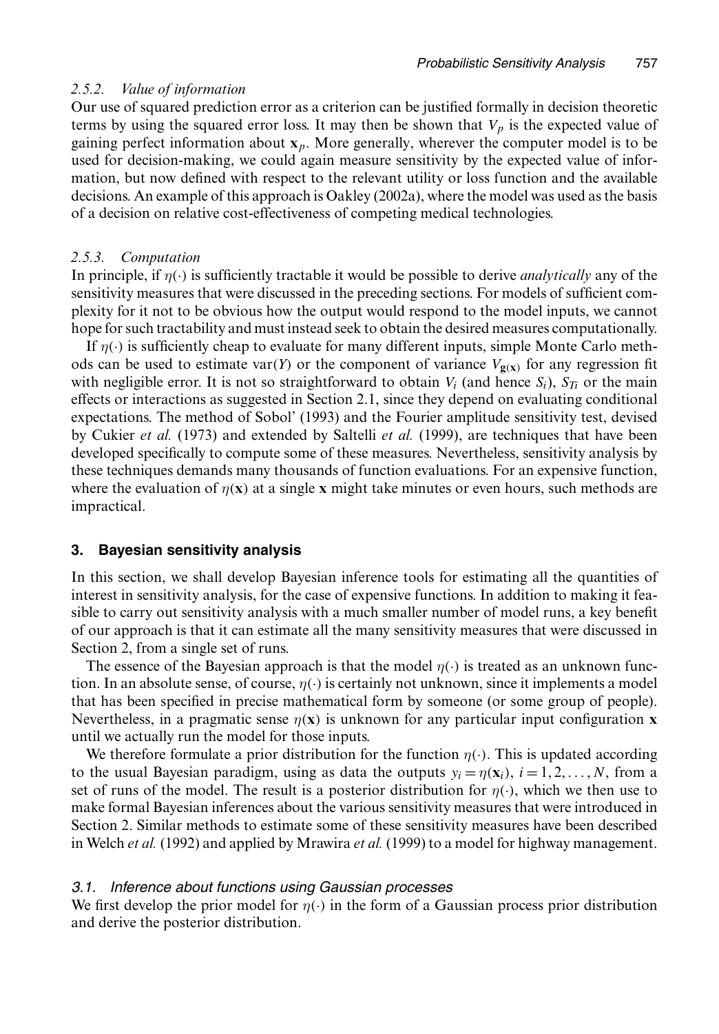# *2.5.2. Value of information*

Our use of squared prediction error as a criterion can be justified formally in decision theoretic terms by using the squared error loss. It may then be shown that  $V_p$  is the expected value of gaining perfect information about  $x_p$ . More generally, wherever the computer model is to be used for decision-making, we could again measure sensitivity by the expected value of information, but now defined with respect to the relevant utility or loss function and the available decisions. An example of this approach is Oakley (2002a), where the model was used as the basis of a decision on relative cost-effectiveness of competing medical technologies.

# *2.5.3. Computation*

In principle, if  $\eta(\cdot)$  is sufficiently tractable it would be possible to derive *analytically* any of the sensitivity measures that were discussed in the preceding sections. For models of sufficient complexity for it not to be obvious how the output would respond to the model inputs, we cannot hope for such tractability and must instead seek to obtain the desired measures computationally.

If  $\eta(\cdot)$  is sufficiently cheap to evaluate for many different inputs, simple Monte Carlo methods can be used to estimate var $(Y)$  or the component of variance  $V_{\mathbf{g}(\mathbf{x})}$  for any regression fit with negligible error. It is not so straightforward to obtain  $V_i$  (and hence  $S_i$ ),  $S_{T_i}$  or the main effects or interactions as suggested in Section 2.1, since they depend on evaluating conditional expectations. The method of Sobol' (1993) and the Fourier amplitude sensitivity test, devised by Cukier *et al.* (1973) and extended by Saltelli *et al.* (1999), are techniques that have been developed specifically to compute some of these measures. Nevertheless, sensitivity analysis by these techniques demands many thousands of function evaluations. For an expensive function, where the evaluation of  $\eta(x)$  at a single **x** might take minutes or even hours, such methods are impractical.

# **3. Bayesian sensitivity analysis**

In this section, we shall develop Bayesian inference tools for estimating all the quantities of interest in sensitivity analysis, for the case of expensive functions. In addition to making it feasible to carry out sensitivity analysis with a much smaller number of model runs, a key benefit of our approach is that it can estimate all the many sensitivity measures that were discussed in Section 2, from a single set of runs.

The essence of the Bayesian approach is that the model  $\eta(\cdot)$  is treated as an unknown function. In an absolute sense, of course,  $\eta(\cdot)$  is certainly not unknown, since it implements a model that has been specified in precise mathematical form by someone (or some group of people). Nevertheless, in a pragmatic sense  $\eta(x)$  is unknown for any particular input configuration **x** until we actually run the model for those inputs.

We therefore formulate a prior distribution for the function  $\eta(\cdot)$ . This is updated according to the usual Bayesian paradigm, using as data the outputs  $y_i = \eta(x_i)$ ,  $i = 1, 2, ..., N$ , from a set of runs of the model. The result is a posterior distribution for  $\eta(\cdot)$ , which we then use to make formal Bayesian inferences about the various sensitivity measures that were introduced in Section 2. Similar methods to estimate some of these sensitivity measures have been described in Welch *et al.* (1992) and applied by Mrawira *et al.* (1999) to a model for highway management.

# *3.1. Inference about functions using Gaussian processes*

We first develop the prior model for  $\eta(\cdot)$  in the form of a Gaussian process prior distribution and derive the posterior distribution.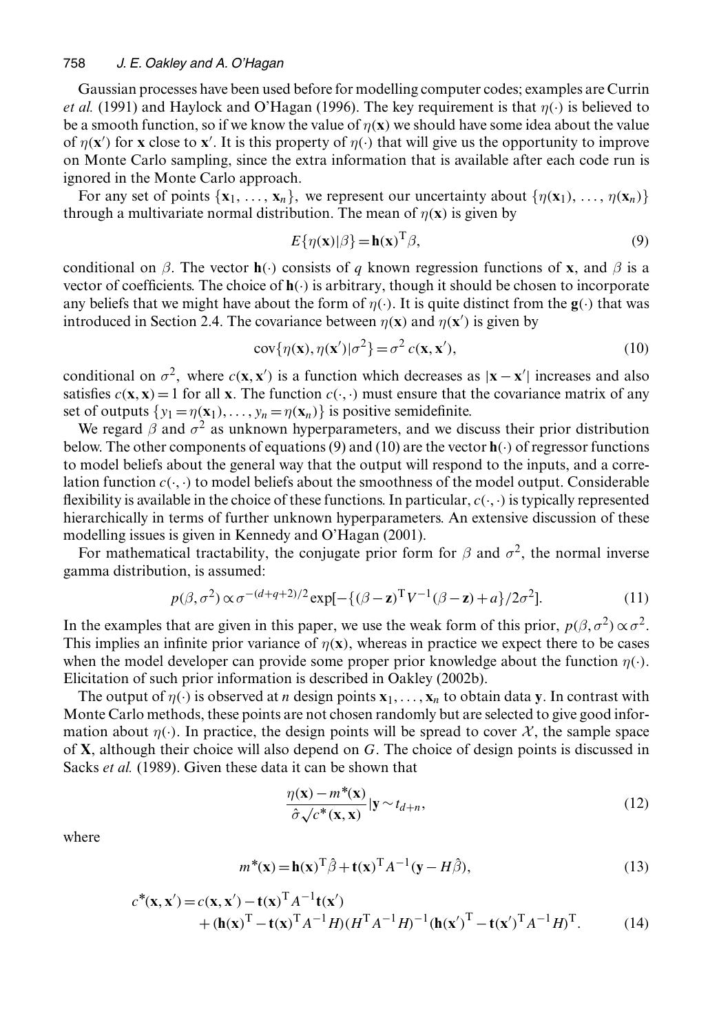Gaussian processes have been used before for modelling computer codes; examples are Currin *et al.* (1991) and Haylock and O'Hagan (1996). The key requirement is that  $\eta(\cdot)$  is believed to be a smooth function, so if we know the value of  $\eta(x)$  we should have some idea about the value of  $\eta(x')$  for **x** close to **x**<sup>'</sup>. It is this property of  $\eta(\cdot)$  that will give us the opportunity to improve<br>on Monte Carlo sampling, since the extra information that is available after each code run is on Monte Carlo sampling, since the extra information that is available after each code run is ignored in the Monte Carlo approach.

For any set of points  $\{x_1, \ldots, x_n\}$ , we represent our uncertainty about  $\{\eta(\mathbf{x}_1), \ldots, \eta(\mathbf{x}_n)\}$ through a multivariate normal distribution. The mean of  $\eta(x)$  is given by

$$
E\{\eta(\mathbf{x})|\beta\} = \mathbf{h}(\mathbf{x})^{\mathrm{T}}\beta,
$$
\n(9)

conditional on  $\beta$ . The vector **h**(·) consists of q known regression functions of **x**, and  $\beta$  is a vector of coefficients. The choice of  $\mathbf{h}(\cdot)$  is arbitrary, though it should be chosen to incorporate any beliefs that we might have about the form of  $\eta(\cdot)$ . It is quite distinct from the **g**( $\cdot$ ) that was introduced in Section 2.4. The covariance between  $\eta(\mathbf{x})$  and  $\eta(\mathbf{x}')$  is given by

$$
cov{\eta(\mathbf{x}), \eta(\mathbf{x}')|\sigma^2} = \sigma^2 c(\mathbf{x}, \mathbf{x}'),
$$
\n(10)

conditional on  $\sigma^2$ , where  $c(\mathbf{x}, \mathbf{x}')$  is a function which decreases as  $|\mathbf{x} - \mathbf{x}'|$  increases and also satisfies  $c(\mathbf{x}, \mathbf{x}) - 1$  for all x. The function  $c(\cdot, \cdot)$  must ensure that the covariance matrix of any satisfies  $c(\mathbf{x}, \mathbf{x}) = 1$  for all **x**. The function  $c(\cdot, \cdot)$  must ensure that the covariance matrix of any set of outputs  $\{y_1 = \eta(\mathbf{x}_1), \ldots, y_n = \eta(\mathbf{x}_n)\}$  is positive semidefinite.

We regard  $\beta$  and  $\sigma^2$  as unknown hyperparameters, and we discuss their prior distribution below. The other components of equations (9) and (10) are the vector  $\mathbf{h}(\cdot)$  of regressor functions to model beliefs about the general way that the output will respond to the inputs, and a correlation function  $c(\cdot, \cdot)$  to model beliefs about the smoothness of the model output. Considerable flexibility is available in the choice of these functions. In particular,  $c(\cdot, \cdot)$  is typically represented hierarchically in terms of further unknown hyperparameters. An extensive discussion of these modelling issues is given in Kennedy and O'Hagan (2001).

For mathematical tractability, the conjugate prior form for  $\beta$  and  $\sigma^2$ , the normal inverse gamma distribution, is assumed:

$$
p(\beta, \sigma^2) \propto \sigma^{-(d+q+2)/2} \exp[-\{(\beta - \mathbf{z})^T V^{-1}(\beta - \mathbf{z}) + a\}/2\sigma^2].
$$
 (11)

In the examples that are given in this paper, we use the weak form of this prior,  $p(\beta, \sigma^2) \propto \sigma^2$ . This implies an infinite prior variance of  $\eta(x)$ , whereas in practice we expect there to be cases when the model developer can provide some proper prior knowledge about the function  $\eta(\cdot)$ . Elicitation of such prior information is described in Oakley (2002b).

The output of  $\eta(\cdot)$  is observed at n design points  $\mathbf{x}_1, \ldots, \mathbf{x}_n$  to obtain data **y**. In contrast with Monte Carlo methods, these points are not chosen randomly but are selected to give good information about  $\eta(\cdot)$ . In practice, the design points will be spread to cover X, the sample space of **X**, although their choice will also depend on <sup>G</sup>. The choice of design points is discussed in Sacks *et al.* (1989). Given these data it can be shown that

$$
\frac{\eta(\mathbf{x}) - m^*(\mathbf{x})}{\hat{\sigma}\sqrt{c^*(\mathbf{x}, \mathbf{x})}}|\mathbf{y} \sim t_{d+n},\tag{12}
$$

where

$$
m^*(\mathbf{x}) = \mathbf{h}(\mathbf{x})^{\mathrm{T}} \hat{\boldsymbol{\beta}} + \mathbf{t}(\mathbf{x})^{\mathrm{T}} A^{-1} (\mathbf{y} - H\hat{\boldsymbol{\beta}}),
$$
\n(13)

$$
c^*(\mathbf{x}, \mathbf{x}') = c(\mathbf{x}, \mathbf{x}') - \mathbf{t}(\mathbf{x})^{\mathrm{T}} A^{-1} \mathbf{t}(\mathbf{x}')
$$
  
+ 
$$
(\mathbf{h}(\mathbf{x})^{\mathrm{T}} - \mathbf{t}(\mathbf{x})^{\mathrm{T}} A^{-1} H) (H^{\mathrm{T}} A^{-1} H)^{-1} (\mathbf{h}(\mathbf{x}')^{\mathrm{T}} - \mathbf{t}(\mathbf{x}')^{\mathrm{T}} A^{-1} H)^{\mathrm{T}}.
$$
 (14)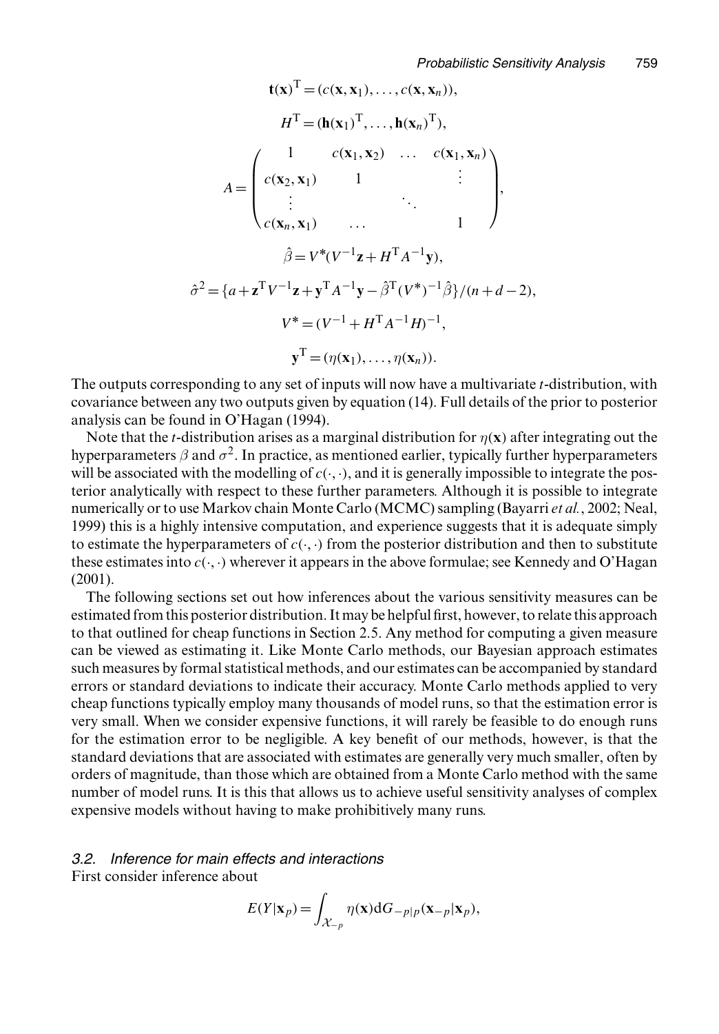$$
\mathbf{t}(\mathbf{x})^{\mathrm{T}} = (c(\mathbf{x}, \mathbf{x}_1), \dots, c(\mathbf{x}, \mathbf{x}_n)),
$$
  
\n
$$
H^{\mathrm{T}} = (\mathbf{h}(\mathbf{x}_1)^{\mathrm{T}}, \dots, \mathbf{h}(\mathbf{x}_n)^{\mathrm{T}}),
$$
  
\n
$$
A = \begin{pmatrix} 1 & c(\mathbf{x}_1, \mathbf{x}_2) & \dots & c(\mathbf{x}_1, \mathbf{x}_n) \\ c(\mathbf{x}_2, \mathbf{x}_1) & 1 & \vdots \\ \vdots & \ddots & \vdots \\ c(\mathbf{x}_n, \mathbf{x}_1) & \dots & 1 \end{pmatrix},
$$
  
\n
$$
\hat{\beta} = V^*(V^{-1}\mathbf{z} + H^{\mathrm{T}}A^{-1}\mathbf{y}),
$$
  
\n
$$
\hat{\sigma}^2 = \{a + \mathbf{z}^{\mathrm{T}}V^{-1}\mathbf{z} + \mathbf{y}^{\mathrm{T}}A^{-1}\mathbf{y} - \hat{\beta}^{\mathrm{T}}(V^*)^{-1}\hat{\beta}\}/(n + d - 2),
$$
  
\n
$$
V^* = (V^{-1} + H^{\mathrm{T}}A^{-1}H)^{-1},
$$
  
\n
$$
\mathbf{y}^{\mathrm{T}} = (\eta(\mathbf{x}_1), \dots, \eta(\mathbf{x}_n)).
$$

The outputs corresponding to any set of inputs will now have a multivariate *t*-distribution, with covariance between any two outputs given by equation (14). Full details of the prior to posterior analysis can be found in O'Hagan (1994).

Note that the *t*-distribution arises as a marginal distribution for  $\eta(x)$  after integrating out the hyperparameters  $\beta$  and  $\sigma^2$ . In practice, as mentioned earlier, typically further hyperparameters will be associated with the modelling of  $c(\cdot, \cdot)$ , and it is generally impossible to integrate the posterior analytically with respect to these further parameters. Although it is possible to integrate numerically or to use Markov chain Monte Carlo (MCMC) sampling (Bayarri *et al.*, 2002; Neal, 1999) this is a highly intensive computation, and experience suggests that it is adequate simply to estimate the hyperparameters of  $c(\cdot, \cdot)$  from the posterior distribution and then to substitute these estimates into  $c(\cdot, \cdot)$  wherever it appears in the above formulae; see Kennedy and O'Hagan (2001).

The following sections set out how inferences about the various sensitivity measures can be estimated from this posterior distribution. It may be helpful first, however, to relate this approach to that outlined for cheap functions in Section 2.5. Any method for computing a given measure can be viewed as estimating it. Like Monte Carlo methods, our Bayesian approach estimates such measures by formal statistical methods, and our estimates can be accompanied by standard errors or standard deviations to indicate their accuracy. Monte Carlo methods applied to very cheap functions typically employ many thousands of model runs, so that the estimation error is very small. When we consider expensive functions, it will rarely be feasible to do enough runs for the estimation error to be negligible. A key benefit of our methods, however, is that the standard deviations that are associated with estimates are generally very much smaller, often by orders of magnitude, than those which are obtained from a Monte Carlo method with the same number of model runs. It is this that allows us to achieve useful sensitivity analyses of complex expensive models without having to make prohibitively many runs.

#### *3.2. Inference for main effects and interactions*

First consider inference about

$$
E(Y|\mathbf{x}_p) = \int_{\mathcal{X}_{-p}} \eta(\mathbf{x}) dG_{-p|p}(\mathbf{x}_{-p}|\mathbf{x}_p),
$$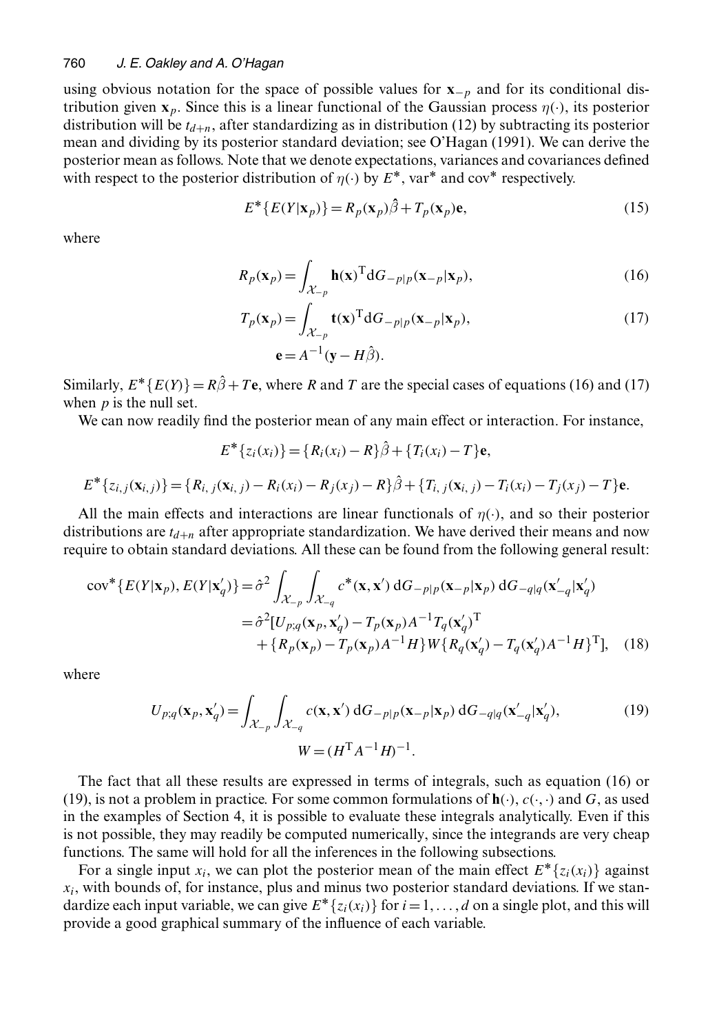using obvious notation for the space of possible values for **<sup>x</sup>**−<sup>p</sup> and for its conditional distribution given  $\mathbf{x}_p$ . Since this is a linear functional of the Gaussian process  $\eta(\cdot)$ , its posterior distribution will be  $t_{d+n}$ , after standardizing as in distribution (12) by subtracting its posterior mean and dividing by its posterior standard deviation; see O'Hagan (1991). We can derive the posterior mean as follows. Note that we denote expectations, variances and covariances defined with respect to the posterior distribution of  $\eta(\cdot)$  by  $E^*$ , var<sup>\*</sup> and cov<sup>\*</sup> respectively.

$$
E^* \{ E(Y | \mathbf{x}_p) \} = R_p(\mathbf{x}_p) \hat{\beta} + T_p(\mathbf{x}_p) \mathbf{e},
$$
 (15)

where

$$
R_p(\mathbf{x}_p) = \int_{\mathcal{X}_{-p}} \mathbf{h}(\mathbf{x})^{\mathrm{T}} dG_{-p|p}(\mathbf{x}_{-p}|\mathbf{x}_p),\tag{16}
$$

$$
T_p(\mathbf{x}_p) = \int_{\mathcal{X}_{-p}} \mathbf{t}(\mathbf{x})^{\mathrm{T}} dG_{-p|p}(\mathbf{x}_{-p}|\mathbf{x}_p),
$$
  
\n
$$
\mathbf{e} = A^{-1}(\mathbf{y} - H\hat{\boldsymbol{\beta}}).
$$
\n(17)

Similarly,  $E^*$ { $E(Y)$ } =  $R\hat{\beta}$  + Te, where R and T are the special cases of equations (16) and (17) when  $p$  is the null set.

We can now readily find the posterior mean of any main effect or interaction. For instance,

$$
E^* \{ z_i(x_i) \} = \{ R_i(x_i) - R \} \hat{\beta} + \{ T_i(x_i) - T \} \mathbf{e},
$$
  

$$
E^* \{ z_{i,j}(\mathbf{x}_{i,j}) \} = \{ R_{i,j}(\mathbf{x}_{i,j}) - R_i(x_i) - R_j(x_j) - R \} \hat{\beta} + \{ T_{i,j}(\mathbf{x}_{i,j}) - T_i(x_i) - T_j(x_j) - T \} \mathbf{e}.
$$

All the main effects and interactions are linear functionals of  $\eta(\cdot)$ , and so their posterior distributions are  $t_{d+n}$  after appropriate standardization. We have derived their means and now require to obtain standard deviations. All these can be found from the following general result:

$$
\text{cov}^*\lbrace E(Y|\mathbf{x}_p), E(Y|\mathbf{x}'_q)\rbrace = \hat{\sigma}^2 \int_{\mathcal{X}_{-p}} \int_{\mathcal{X}_{-q}} c^*(\mathbf{x}, \mathbf{x}') dG_{-p|p}(\mathbf{x}_{-p}|\mathbf{x}_p) dG_{-q|q}(\mathbf{x}'_{-q}|\mathbf{x}'_q)
$$
  

$$
= \hat{\sigma}^2 [U_{p;q}(\mathbf{x}_p, \mathbf{x}'_q) - T_p(\mathbf{x}_p)A^{-1}T_q(\mathbf{x}'_q)^{\mathrm{T}} + \lbrace R_p(\mathbf{x}_p) - T_p(\mathbf{x}_p)A^{-1}H \rbrace W \lbrace R_q(\mathbf{x}'_q) - T_q(\mathbf{x}'_q)A^{-1}H \rbrace^{\mathrm{T}}], \quad (18)
$$

where

$$
U_{p;q}(\mathbf{x}_p, \mathbf{x}'_q) = \int_{\mathcal{X}_{-p}} \int_{\mathcal{X}_{-q}} c(\mathbf{x}, \mathbf{x}') dG_{-p|p}(\mathbf{x}_{-p}|\mathbf{x}_p) dG_{-q|q}(\mathbf{x}'_{-q}|\mathbf{x}'_q),
$$
  
\n
$$
W = (H^{\mathrm{T}} A^{-1} H)^{-1}.
$$
\n(19)

The fact that all these results are expressed in terms of integrals, such as equation (16) or (19), is not a problem in practice. For some common formulations of  $h(.)$ ,  $c(.)$  and G, as used in the examples of Section 4, it is possible to evaluate these integrals analytically. Even if this is not possible, they may readily be computed numerically, since the integrands are very cheap functions. The same will hold for all the inferences in the following subsections.

For a single input  $x_i$ , we can plot the posterior mean of the main effect  $E^* \{z_i(x_i)\}\$  against  $x_i$ , with bounds of, for instance, plus and minus two posterior standard deviations. If we standardize each input variable, we can give  $E^* \{z_i(x_i)\}\$  for  $i=1,\ldots,d$  on a single plot, and this will provide a good graphical summary of the influence of each variable.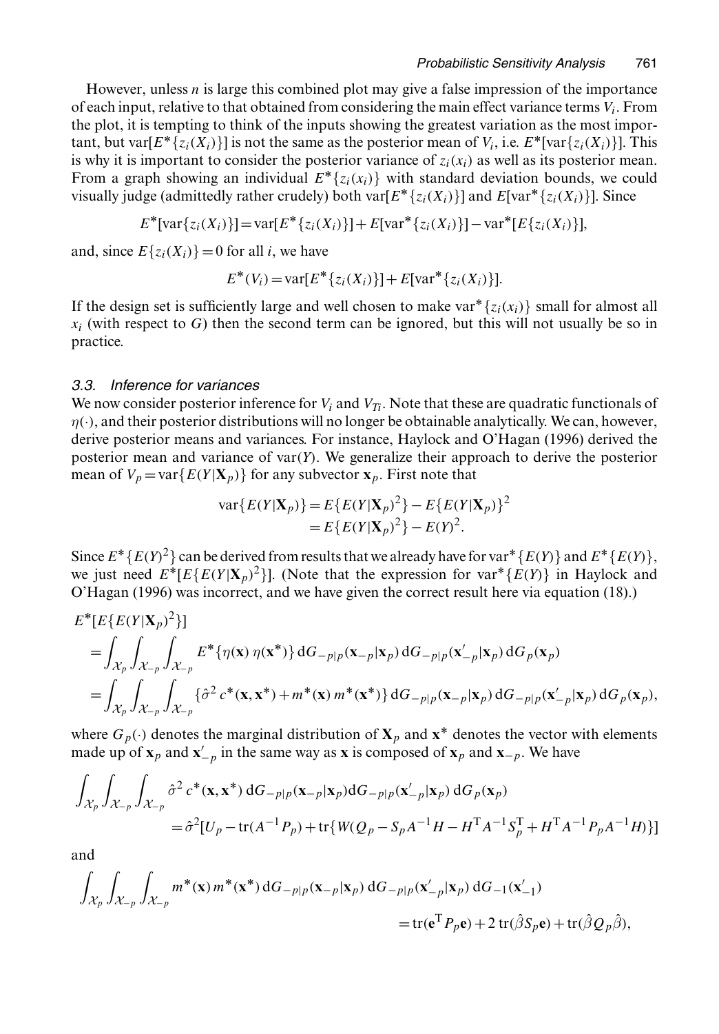However, unless  $n$  is large this combined plot may give a false impression of the importance of each input, relative to that obtained from considering the main effect variance terms  $V_i$ . From the plot, it is tempting to think of the inputs showing the greatest variation as the most important, but var $[E^* \{z_i(X_i)\}]$  is not the same as the posterior mean of  $V_i$ , i.e.  $E^*$ [var $\{z_i(X_i)\}\]$ . This is why it is important to consider the posterior variance of  $z_i(x_i)$  as well as its posterior mean. From a graph showing an individual  $E^*\{z_i(x_i)\}\$  with standard deviation bounds, we could visually judge (admittedly rather crudely) both var $[E^*\{z_i(X_i)\}]$  and  $E[var^*\{z_i(X_i)\}]$ . Since

$$
E^*[\text{var}\{z_i(X_i)\}] = \text{var}[E^*\{z_i(X_i)\}] + E[\text{var}^*\{z_i(X_i)\}] - \text{var}^*[E\{z_i(X_i)\}],
$$

and, since  $E\{z_i(X_i)\}=0$  for all *i*, we have

$$
E^*(V_i) = \text{var}[E^*\{z_i(X_i)\}] + E[\text{var}^*\{z_i(X_i)\}].
$$

If the design set is sufficiently large and well chosen to make var\* $\{z_i(x_i)\}$  small for almost all  $x_i$  (with respect to G) then the second term can be ignored, but this will not usually be so in practice.

### *3.3. Inference for variances*

We now consider posterior inference for  $V_i$  and  $V_{T_i}$ . Note that these are quadratic functionals of  $\eta(\cdot)$ , and their posterior distributions will no longer be obtainable analytically. We can, however, derive posterior means and variances. For instance, Haylock and O'Hagan (1996) derived the posterior mean and variance of var $(Y)$ . We generalize their approach to derive the posterior mean of  $V_p = \text{var}\{E(Y|\mathbf{X}_p)\}\$ for any subvector  $\mathbf{x}_p$ . First note that

$$
\begin{aligned} \text{var}\{E(Y|\mathbf{X}_p)\} &= E\{E(Y|\mathbf{X}_p)^2\} - E\{E(Y|\mathbf{X}_p)\}^2 \\ &= E\{E(Y|\mathbf{X}_p)^2\} - E(Y)^2. \end{aligned}
$$

Since  $E^*\{E(Y)^2\}$  can be derived from results that we already have for var<sup> $*\{E(Y)\}$ </sup> and  $E^*\{E(Y)\}$ , we just need  $E^*[E\{E(Y|\mathbf{X}_p)^2\}]$ . (Note that the expression for var<sup>\*</sup>{ $E(Y)$ } in Haylock and O'Hagan (1996) was incorrect, and we have given the correct result here via equation (18).)

$$
E^*[E\{E(Y|\mathbf{X}_p)^2\}]
$$
  
=  $\int_{\mathcal{X}_p} \int_{\mathcal{X}_{-p}} \int_{\mathcal{X}_{-p}} E^* \{\eta(\mathbf{x}) \eta(\mathbf{x}^*)\} dG_{-p|p}(\mathbf{x}_{-p}|\mathbf{x}_p) dG_{-p|p}(\mathbf{x}'_{-p}|\mathbf{x}_p) dG_p(\mathbf{x}_p)$   
=  $\int_{\mathcal{X}_p} \int_{\mathcal{X}_{-p}} \int_{\mathcal{X}_{-p}} \{\hat{\sigma}^2 c^*(\mathbf{x}, \mathbf{x}^*) + m^*(\mathbf{x}) m^*(\mathbf{x}^*)\} dG_{-p|p}(\mathbf{x}_{-p}|\mathbf{x}_p) dG_{-p|p}(\mathbf{x}'_{-p}|\mathbf{x}_p) dG_p(\mathbf{x}_p),$ 

where  $G_p(\cdot)$  denotes the marginal distribution of  $X_p$  and  $x^*$  denotes the vector with elements made up of  $\mathbf{x}_p$  and  $\mathbf{x}'_{-p}$  in the same way as **x** is composed of  $\mathbf{x}_p$  and  $\mathbf{x}_{-p}$ . We have

$$
\int_{\mathcal{X}_p} \int_{\mathcal{X}_{-p}} \int_{\mathcal{X}_{-p}} \hat{\sigma}^2 c^*(\mathbf{x}, \mathbf{x}^*) dG_{-p|p}(\mathbf{x}_{-p}|\mathbf{x}_p) dG_{-p|p}(\mathbf{x}'_{-p}|\mathbf{x}_p) dG_p(\mathbf{x}_p)
$$
\n
$$
= \hat{\sigma}^2 [U_p - \text{tr}(A^{-1}P_p) + \text{tr}\{W(Q_p - S_pA^{-1}H - H^TA^{-1}S_p^T + H^TA^{-1}P_pA^{-1}H)\}]
$$

and

$$
\int_{\mathcal{X}_p} \int_{\mathcal{X}_{-p}} \int_{\mathcal{X}_{-p}} m^*(\mathbf{x}) m^*(\mathbf{x}^*) dG_{-p|p}(\mathbf{x}_{-p}|\mathbf{x}_p) dG_{-p|p}(\mathbf{x}'_{-p}|\mathbf{x}_p) dG_{-1}(\mathbf{x}'_{-1})
$$
\n
$$
= \text{tr}(\mathbf{e}^{\mathrm{T}} P_p \mathbf{e}) + 2 \text{tr}(\hat{\beta} S_p \mathbf{e}) + \text{tr}(\hat{\beta} Q_p \hat{\beta}),
$$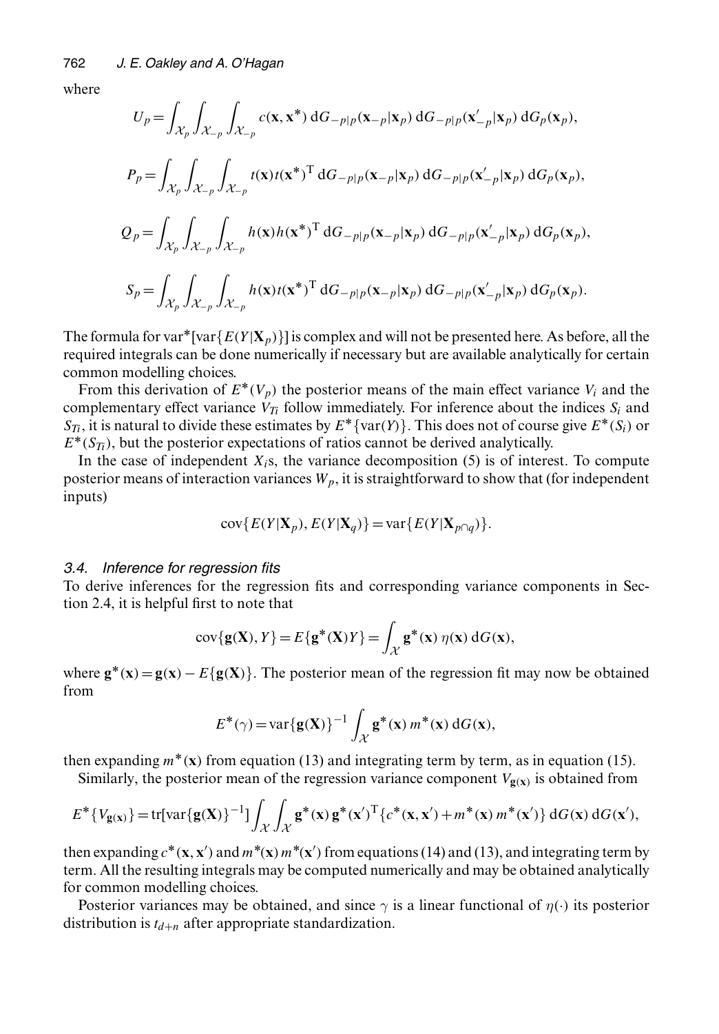where

$$
U_p = \int_{\mathcal{X}_p} \int_{\mathcal{X}_{-p}} \int_{\mathcal{X}_{-p}} c(\mathbf{x}, \mathbf{x}^*) dG_{-p|p}(\mathbf{x}_{-p}|\mathbf{x}_p) dG_{-p|p}(\mathbf{x}'_{-p}|\mathbf{x}_p) dG_p(\mathbf{x}_p),
$$
  
\n
$$
P_p = \int_{\mathcal{X}_p} \int_{\mathcal{X}_{-p}} \int_{\mathcal{X}_{-p}} t(\mathbf{x}) t(\mathbf{x}^*)^{\mathrm{T}} dG_{-p|p}(\mathbf{x}_{-p}|\mathbf{x}_p) dG_{-p|p}(\mathbf{x}'_{-p}|\mathbf{x}_p) dG_p(\mathbf{x}_p),
$$
  
\n
$$
Q_p = \int_{\mathcal{X}_p} \int_{\mathcal{X}_{-p}} \int_{\mathcal{X}_{-p}} h(\mathbf{x}) h(\mathbf{x}^*)^{\mathrm{T}} dG_{-p|p}(\mathbf{x}_{-p}|\mathbf{x}_p) dG_{-p|p}(\mathbf{x}'_{-p}|\mathbf{x}_p) dG_p(\mathbf{x}_p),
$$
  
\n
$$
S_p = \int_{\mathcal{X}_p} \int_{\mathcal{X}_{-p}} \int_{\mathcal{X}_{-p}} h(\mathbf{x}) t(\mathbf{x}^*)^{\mathrm{T}} dG_{-p|p}(\mathbf{x}_{-p}|\mathbf{x}_p) dG_{-p|p}(\mathbf{x}'_{-p}|\mathbf{x}_p) dG_p(\mathbf{x}_p).
$$

The formula for var\*[var ${E(Y|\mathbf{X}_p)}$ ] is complex and will not be presented here. As before, all the required integrals can be done numerically if necessary but are available analytically for certain common modelling choices.

From this derivation of  $E^*(V_p)$  the posterior means of the main effect variance  $V_i$  and the complementary effect variance  $V_{T_i}$  follow immediately. For inference about the indices  $S_i$  and  $S_T$ , it is natural to divide these estimates by  $E^*$ {var $(Y)$ }. This does not of course give  $E^*(S_i)$  or  $E^*(S_{T_i})$ , but the posterior expectations of ratios cannot be derived analytically.

In the case of independent  $X_i$ s, the variance decomposition (5) is of interest. To compute posterior means of interaction variances  $W_p$ , it is straightforward to show that (for independent inputs)

$$
cov\{E(Y|\mathbf{X}_p), E(Y|\mathbf{X}_q)\} = var\{E(Y|\mathbf{X}_{p \cap q})\}.
$$

#### *3.4. Inference for regression fits*

To derive inferences for the regression fits and corresponding variance components in Section 2.4, it is helpful first to note that

$$
cov{g(X), Y} = E{g^*(X)Y} = \int_{\mathcal{X}} g^*(x) \eta(x) dG(x),
$$

where  $\mathbf{g}^*(\mathbf{x}) = \mathbf{g}(\mathbf{x}) - E{\mathbf{g}(\mathbf{X})}$ . The posterior mean of the regression fit may now be obtained from

$$
E^*(\gamma) = \text{var}\{\mathbf{g}(\mathbf{X})\}^{-1} \int_{\mathcal{X}} \mathbf{g}^*(\mathbf{x}) m^*(\mathbf{x}) dG(\mathbf{x}),
$$

then expanding  $m^*(x)$  from equation (13) and integrating term by term, as in equation (15).

Similarly, the posterior mean of the regression variance component  $V_{\mathbf{g}(\mathbf{x})}$  is obtained from

$$
E^* \{ V_{\mathbf{g}(\mathbf{x})} \} = \text{tr}[\text{var}\{\mathbf{g}(\mathbf{X})\}^{-1}] \int_{\mathcal{X}} \int_{\mathcal{X}} \mathbf{g}^*(\mathbf{x}) \mathbf{g}^*(\mathbf{x}')^{\text{T}} \{ c^*(\mathbf{x}, \mathbf{x}') + m^*(\mathbf{x}) m^*(\mathbf{x}') \} dG(\mathbf{x}) dG(\mathbf{x}'),
$$

then expanding  $c^*(\mathbf{x}, \mathbf{x}')$ <br>term All the resulting is  $($  and  $m^*(\mathbf{x}) m^*(\mathbf{x}')$ <br>
ategrals may be contracted  $\prime$ ) from equations (14) and (13), and integrating term by term. All the resulting integrals may be computed numerically and may be obtained analytically for common modelling choices.

Posterior variances may be obtained, and since  $\gamma$  is a linear functional of  $\eta(\cdot)$  its posterior distribution is  $t_{d+n}$  after appropriate standardization.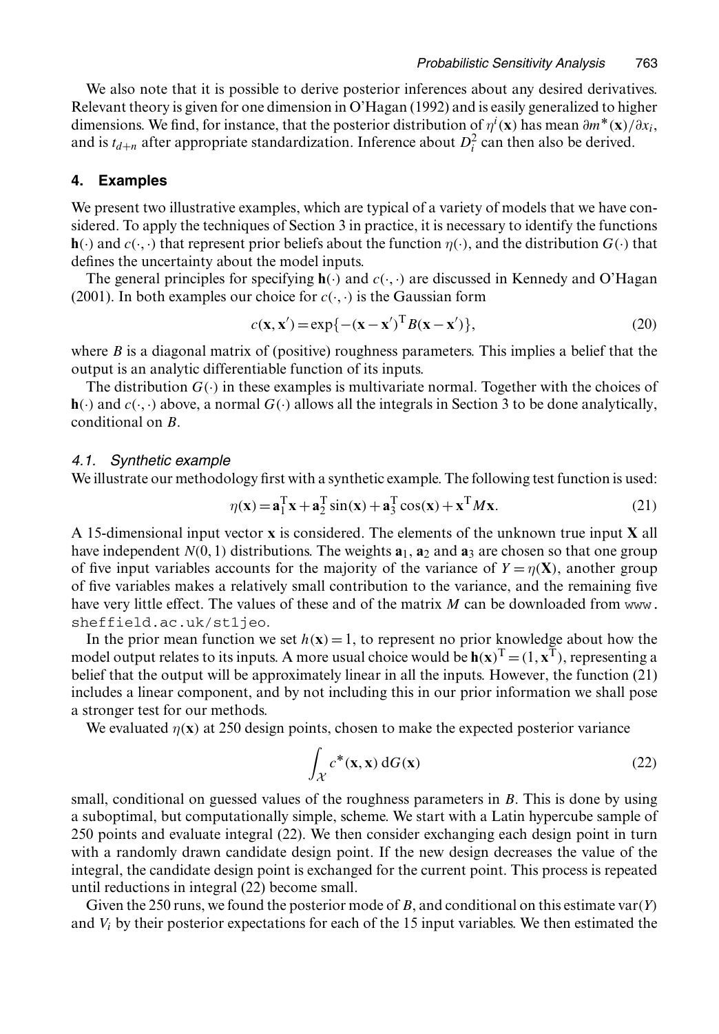We also note that it is possible to derive posterior inferences about any desired derivatives. Relevant theory is given for one dimension in O'Hagan (1992) and is easily generalized to higher dimensions. We find, for instance, that the posterior distribution of  $\eta^i(\mathbf{x})$  has mean  $\partial m^*(\mathbf{x})/\partial x_i$ , and is  $t_{d+n}$  after appropriate standardization. Inference about  $D_i^2$  can then also be derived.

### **4. Examples**

We present two illustrative examples, which are typical of a variety of models that we have considered. To apply the techniques of Section 3 in practice, it is necessary to identify the functions **h.**·) and  $c(\cdot, \cdot)$  that represent prior beliefs about the function  $\eta(\cdot)$ , and the distribution  $G(\cdot)$  that defines the uncertainty about the model inputs.

The general principles for specifying  $h(\cdot)$  and  $c(\cdot, \cdot)$  are discussed in Kennedy and O'Hagan (2001). In both examples our choice for  $c(\cdot, \cdot)$  is the Gaussian form

$$
c(\mathbf{x}, \mathbf{x}') = \exp\{-(\mathbf{x} - \mathbf{x}')^{\mathrm{T}} B(\mathbf{x} - \mathbf{x}')\},\tag{20}
$$

where  $B$  is a diagonal matrix of (positive) roughness parameters. This implies a belief that the output is an analytic differentiable function of its inputs.

The distribution  $G(\cdot)$  in these examples is multivariate normal. Together with the choices of  $\mathbf{h}(\cdot)$  and  $c(\cdot, \cdot)$  above, a normal  $G(\cdot)$  allows all the integrals in Section 3 to be done analytically, conditional on B.

### *4.1. Synthetic example*

We illustrate our methodology first with a synthetic example. The following test function is used:

$$
\eta(\mathbf{x}) = \mathbf{a}_1^{\mathrm{T}} \mathbf{x} + \mathbf{a}_2^{\mathrm{T}} \sin(\mathbf{x}) + \mathbf{a}_3^{\mathrm{T}} \cos(\mathbf{x}) + \mathbf{x}^{\mathrm{T}} M \mathbf{x}.
$$
 (21)

A 15-dimensional input vector **x** is considered. The elements of the unknown true input **X** all have independent  $N(0, 1)$  distributions. The weights  $\mathbf{a}_1$ ,  $\mathbf{a}_2$  and  $\mathbf{a}_3$  are chosen so that one group of five input variables accounts for the majority of the variance of  $Y = \eta(X)$ , another group of five variables makes a relatively small contribution to the variance, and the remaining five have very little effect. The values of these and of the matrix M can be downloaded from www. sheffield.ac.uk/st1jeo.

In the prior mean function we set  $h(x) = 1$ , to represent no prior knowledge about how the model output relates to its inputs. A more usual choice would be  $h(x)^T = (1, x^T)$ , representing a belief that the output will be approximately linear in all the inputs. However, the function (21) includes a linear component, and by not including this in our prior information we shall pose a stronger test for our methods.

We evaluated  $\eta(x)$  at 250 design points, chosen to make the expected posterior variance

$$
\int_{\mathcal{X}} c^*(\mathbf{x}, \mathbf{x}) \, dG(\mathbf{x}) \tag{22}
$$

small, conditional on guessed values of the roughness parameters in  $B$ . This is done by using a suboptimal, but computationally simple, scheme. We start with a Latin hypercube sample of 250 points and evaluate integral (22). We then consider exchanging each design point in turn with a randomly drawn candidate design point. If the new design decreases the value of the integral, the candidate design point is exchanged for the current point. This process is repeated until reductions in integral (22) become small.

Given the 250 runs, we found the posterior mode of B, and conditional on this estimate var $(Y)$ and  $V_i$  by their posterior expectations for each of the 15 input variables. We then estimated the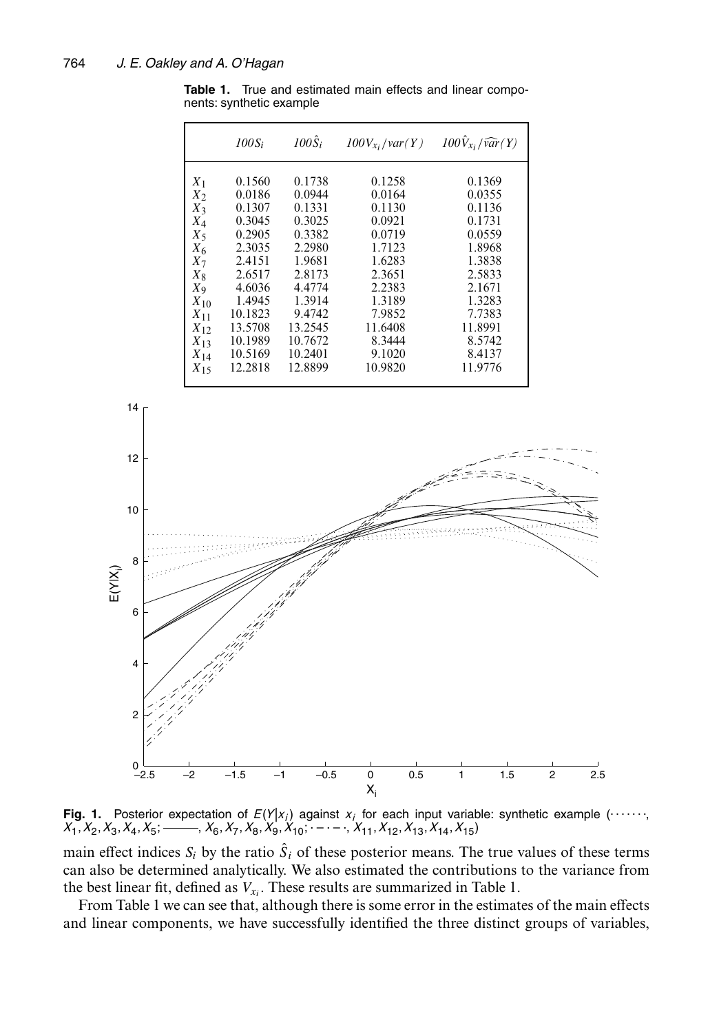**Table 1.** True and estimated main effects and linear components: synthetic example

|          | $100S_i$ | $100\hat{S}_i$ | $100V_{x_i}/var(Y)$ | $100\hat{V}_{x_i}/\widehat{var}(Y)$ |
|----------|----------|----------------|---------------------|-------------------------------------|
| $X_1$    | 0.1560   | 0.1738         | 0.1258              | 0.1369                              |
| $X_2$    | 0.0186   | 0.0944         | 0.0164              | 0.0355                              |
| $X_3$    | 0.1307   | 0.1331         | 0.1130              | 0.1136                              |
| $X_4$    | 0.3045   | 0.3025         | 0.0921              | 0.1731                              |
| $X_5$    | 0.2905   | 0.3382         | 0.0719              | 0.0559                              |
| $X_6$    | 2.3035   | 2.2980         | 1.7123              | 1.8968                              |
| $X_7$    | 2.4151   | 1.9681         | 1.6283              | 1.3838                              |
| $X_8$    | 2.6517   | 2.8173         | 2.3651              | 2.5833                              |
| $X_{9}$  | 4.6036   | 4.4774         | 2.2383              | 2.1671                              |
| $X_{10}$ | 1.4945   | 1.3914         | 1.3189              | 1.3283                              |
| $X_{11}$ | 10.1823  | 9.4742         | 7.9852              | 7.7383                              |
| $X_{12}$ | 13.5708  | 13.2545        | 11.6408             | 11.8991                             |
| $X_{13}$ | 10.1989  | 10.7672        | 8.3444              | 8.5742                              |
| $X_{14}$ | 10.5169  | 10.2401        | 9.1020              | 8.4137                              |
| $X_{15}$ | 12.2818  | 12.8899        | 10.9820             | 11.9776                             |



**Fig. 1.** Posterior expectation of  $E(Y|x_i)$  against  $x_i$  for each input variable: synthetic example (......  $X_1, X_2, X_3, X_4, X_5;$   $\longrightarrow$   $X_6, X_7, X_8, X_9, X_{10};$   $\cdots$   $\cdots$   $X_{11}, X_{12}, X_{13}, X_{14}, X_{15}$ 

main effect indices  $S_i$  by the ratio  $\hat{S}_i$  of these posterior means. The true values of these terms can also be determined analytically. We also estimated the contributions to the variance from the best linear fit, defined as  $V_{x_i}$ . These results are summarized in Table 1.

From Table 1 we can see that, although there is some error in the estimates of the main effects and linear components, we have successfully identified the three distinct groups of variables,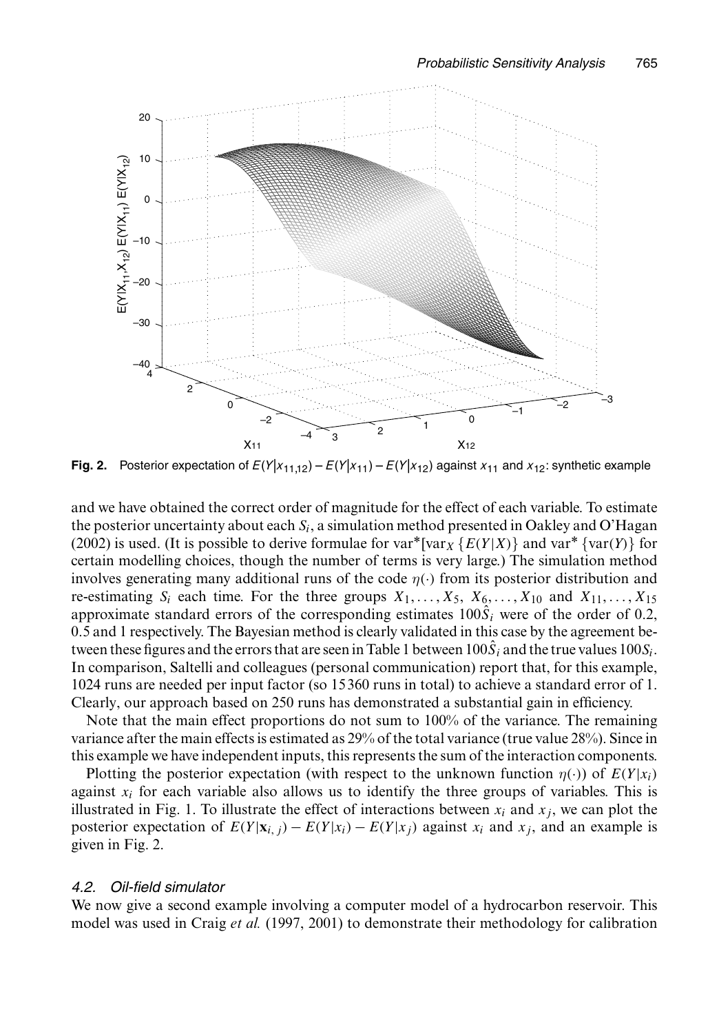

**Fig. 2.** Posterior expectation of  $E(Y|x_{11,12}) - E(Y|x_{11}) - E(Y|x_{12})$  against  $x_{11}$  and  $x_{12}$ : synthetic example

and we have obtained the correct order of magnitude for the effect of each variable. To estimate the posterior uncertainty about each  $S_i$ , a simulation method presented in Oakley and O'Hagan (2002) is used. (It is possible to derive formulae for var\*[var<sub>X</sub> { $E(Y|X)$ } and var\* {var(Y)} for certain modelling choices, though the number of terms is very large.) The simulation method involves generating many additional runs of the code  $\eta(\cdot)$  from its posterior distribution and re-estimating  $S_i$  each time. For the three groups  $X_1, \ldots, X_5, X_6, \ldots, X_{10}$  and  $X_{11}, \ldots, X_{15}$ approximate standard errors of the corresponding estimates  $100\hat{S}_i$  were of the order of 0.2, 0.5 and 1 respectively. The Bayesian method is clearly validated in this case by the agreement between these figures and the errors that are seen in Table 1 between  $100\hat{S}_i$  and the true values  $100S_i$ . In comparison, Saltelli and colleagues (personal communication) report that, for this example, 1024 runs are needed per input factor (so 15 360 runs in total) to achieve a standard error of 1. Clearly, our approach based on 250 runs has demonstrated a substantial gain in efficiency.

Note that the main effect proportions do not sum to 100% of the variance. The remaining variance after the main effects is estimated as 29% of the total variance (true value 28%). Since in this example we have independent inputs, this represents the sum of the interaction components.

Plotting the posterior expectation (with respect to the unknown function  $\eta(\cdot)$ ) of  $E(Y|x_i)$ against  $x_i$  for each variable also allows us to identify the three groups of variables. This is illustrated in Fig. 1. To illustrate the effect of interactions between  $x_i$  and  $x_j$ , we can plot the posterior expectation of  $E(Y|\mathbf{x}_i) - E(Y|x_i) - E(Y|x_i)$  against  $x_i$  and  $x_j$ , and an example is given in Fig. 2.

# *4.2. Oil-field simulator*

We now give a second example involving a computer model of a hydrocarbon reservoir. This model was used in Craig *et al.* (1997, 2001) to demonstrate their methodology for calibration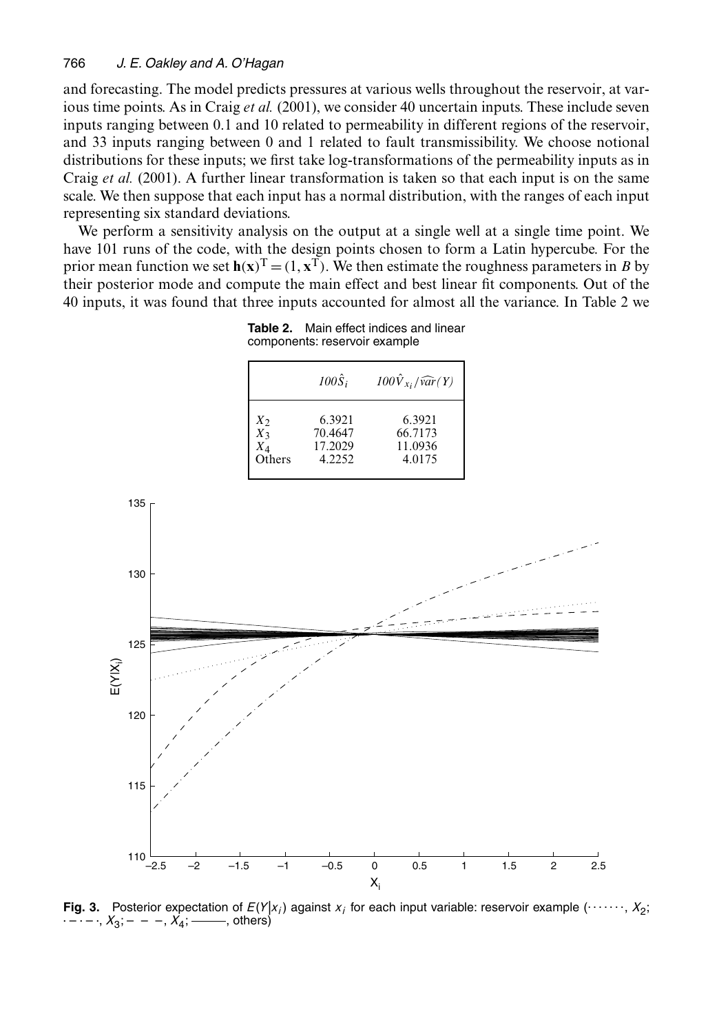and forecasting. The model predicts pressures at various wells throughout the reservoir, at various time points. As in Craig *et al.* (2001), we consider 40 uncertain inputs. These include seven inputs ranging between 0.1 and 10 related to permeability in different regions of the reservoir, and 33 inputs ranging between 0 and 1 related to fault transmissibility. We choose notional distributions for these inputs; we first take log-transformations of the permeability inputs as in Craig *et al.* (2001). A further linear transformation is taken so that each input is on the same scale. We then suppose that each input has a normal distribution, with the ranges of each input representing six standard deviations.

We perform a sensitivity analysis on the output at a single well at a single time point. We have 101 runs of the code, with the design points chosen to form a Latin hypercube. For the prior mean function we set  $h(x)^T = (1, x^T)$ . We then estimate the roughness parameters in B by their posterior mode and compute the main effect and best linear fit components. Out of the 40 inputs, it was found that three inputs accounted for almost all the variance. In Table 2 we

|                                             | $100\hat{S}_i$                         | $100\hat{V}_{x_i}/\widehat{var}(Y)$    |
|---------------------------------------------|----------------------------------------|----------------------------------------|
| $\frac{X_2}{X_3}$<br>$X_{\Delta}$<br>Others | 6.3921<br>70.4647<br>17.2029<br>4.2252 | 6.3921<br>66.7173<br>11.0936<br>4.0175 |

**Table 2.** Main effect indices and linear components: reservoir example



**Fig. 3.** Posterior expectation of  $E(Y|x_i)$  against  $x_i$  for each input variable: reservoir example (......,  $X_2$ ; . – . – ., *X*<sub>3</sub>; – – –, *X*<sub>4</sub>; – ——, others)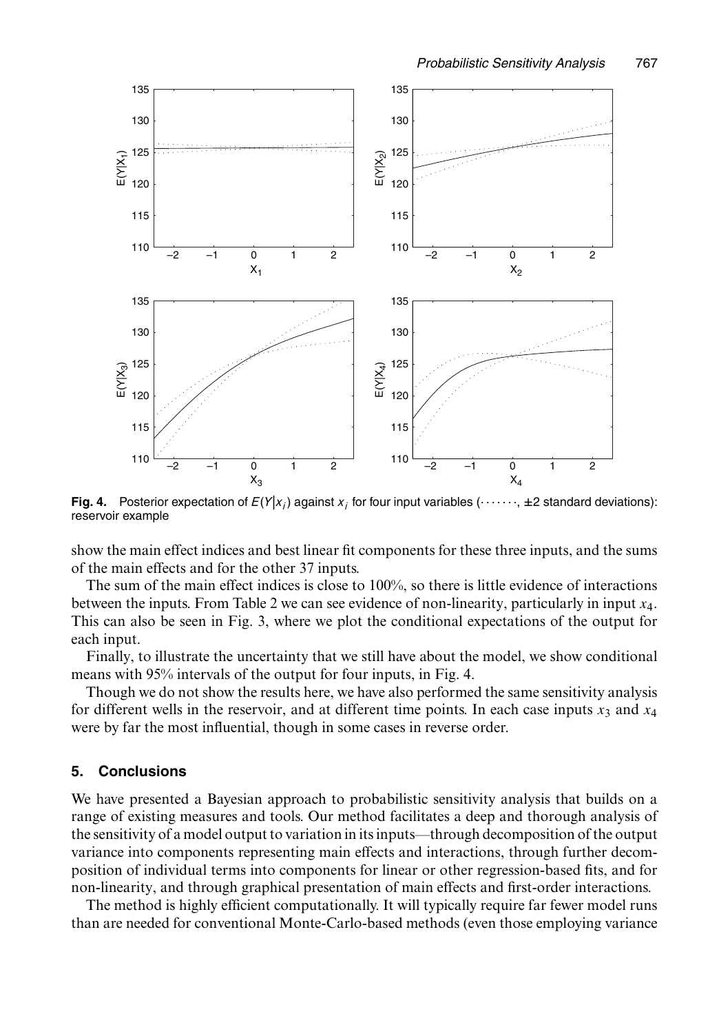

**Fig. 4.** Posterior expectation of  $E(Y|x_i)$  against  $x_i$  for four input variables (......,  $\pm 2$  standard deviations): reservoir example

show the main effect indices and best linear fit components for these three inputs, and the sums of the main effects and for the other 37 inputs.

The sum of the main effect indices is close to 100%, so there is little evidence of interactions between the inputs. From Table 2 we can see evidence of non-linearity, particularly in input x4. This can also be seen in Fig. 3, where we plot the conditional expectations of the output for each input.

Finally, to illustrate the uncertainty that we still have about the model, we show conditional means with 95% intervals of the output for four inputs, in Fig. 4.

Though we do not show the results here, we have also performed the same sensitivity analysis for different wells in the reservoir, and at different time points. In each case inputs  $x_3$  and  $x_4$ were by far the most influential, though in some cases in reverse order.

### **5. Conclusions**

We have presented a Bayesian approach to probabilistic sensitivity analysis that builds on a range of existing measures and tools. Our method facilitates a deep and thorough analysis of the sensitivity of a model output to variation in its inputs—through decomposition of the output variance into components representing main effects and interactions, through further decomposition of individual terms into components for linear or other regression-based fits, and for non-linearity, and through graphical presentation of main effects and first-order interactions.

The method is highly efficient computationally. It will typically require far fewer model runs than are needed for conventional Monte-Carlo-based methods (even those employing variance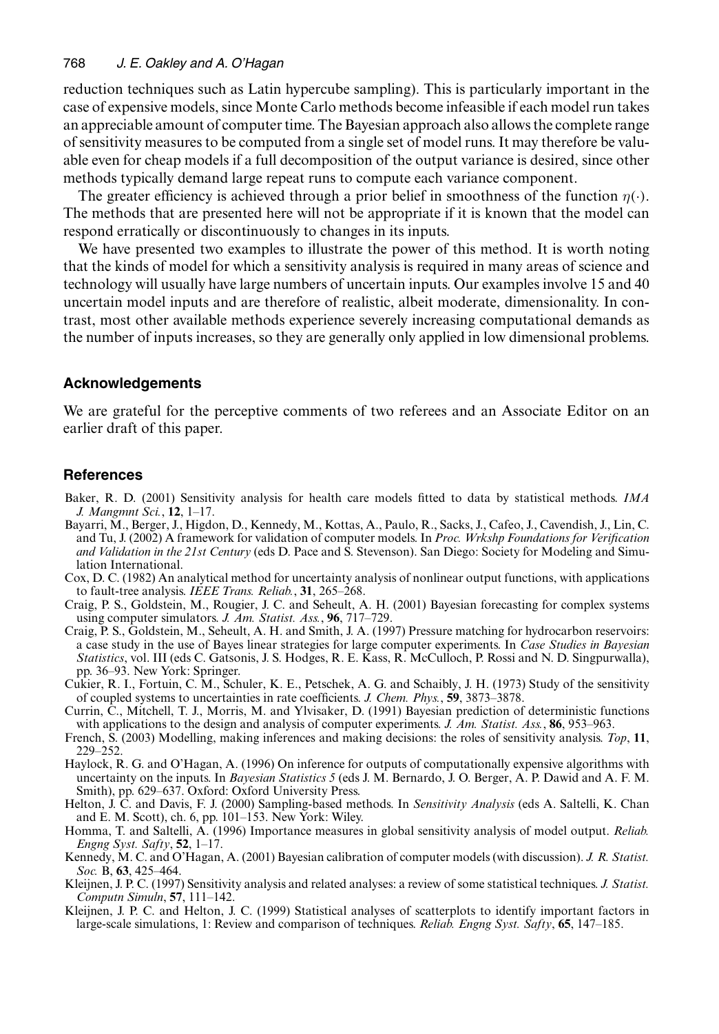### 768 *J. E. Oakley and A. O'Hagan*

reduction techniques such as Latin hypercube sampling). This is particularly important in the case of expensive models, since Monte Carlo methods become infeasible if each model run takes an appreciable amount of computer time. The Bayesian approach also allows the complete range of sensitivity measures to be computed from a single set of model runs. It may therefore be valuable even for cheap models if a full decomposition of the output variance is desired, since other methods typically demand large repeat runs to compute each variance component.

The greater efficiency is achieved through a prior belief in smoothness of the function  $\eta(\cdot)$ . The methods that are presented here will not be appropriate if it is known that the model can respond erratically or discontinuously to changes in its inputs.

We have presented two examples to illustrate the power of this method. It is worth noting that the kinds of model for which a sensitivity analysis is required in many areas of science and technology will usually have large numbers of uncertain inputs. Our examples involve 15 and 40 uncertain model inputs and are therefore of realistic, albeit moderate, dimensionality. In contrast, most other available methods experience severely increasing computational demands as the number of inputs increases, so they are generally only applied in low dimensional problems.

# **Acknowledgements**

We are grateful for the perceptive comments of two referees and an Associate Editor on an earlier draft of this paper.

### **References**

- Baker, R. D. (2001) Sensitivity analysis for health care models fitted to data by statistical methods. *IMA J. Mangmnt Sci.*, **12**, 1–17.
- Bayarri, M., Berger, J., Higdon, D., Kennedy, M., Kottas, A., Paulo, R., Sacks, J., Cafeo, J., Cavendish, J., Lin, C. and Tu, J. (2002) A framework for validation of computer models. In *Proc. Wrkshp Foundations for Verification and Validation in the 21st Century* (eds D. Pace and S. Stevenson). San Diego: Society for Modeling and Simulation International.
- Cox, D. C. (1982) An analytical method for uncertainty analysis of nonlinear output functions, with applications to fault-tree analysis. *IEEE Trans. Reliab.*, **31**, 265–268.
- Craig, P. S., Goldstein, M., Rougier, J. C. and Seheult, A. H. (2001) Bayesian forecasting for complex systems using computer simulators. *J. Am. Statist. Ass.*, **96**, 717–729.
- Craig, P. S., Goldstein, M., Seheult, A. H. and Smith, J. A. (1997) Pressure matching for hydrocarbon reservoirs: a case study in the use of Bayes linear strategies for large computer experiments. In *Case Studies in Bayesian Statistics*, vol. III (eds C. Gatsonis, J. S. Hodges, R. E. Kass, R. McCulloch, P. Rossi and N. D. Singpurwalla), pp. 36–93. New York: Springer.
- Cukier, R. I., Fortuin, C. M., Schuler, K. E., Petschek, A. G. and Schaibly, J. H. (1973) Study of the sensitivity of coupled systems to uncertainties in rate coefficients. *J. Chem. Phys.*, **59**, 3873–3878.
- Currin, C., Mitchell, T. J., Morris, M. and Ylvisaker, D. (1991) Bayesian prediction of deterministic functions with applications to the design and analysis of computer experiments. *J. Am. Statist. Ass.*, **86**, 953–963.
- French, S. (2003) Modelling, making inferences and making decisions: the roles of sensitivity analysis. *Top*, **11**, 229–252.
- Haylock, R. G. and O'Hagan, A. (1996) On inference for outputs of computationally expensive algorithms with uncertainty on the inputs. In *Bayesian Statistics 5* (eds J. M. Bernardo, J. O. Berger, A. P. Dawid and A. F. M. Smith), pp. 629–637. Oxford: Oxford University Press.
- Helton, J. C. and Davis, F. J. (2000) Sampling-based methods. In *Sensitivity Analysis* (eds A. Saltelli, K. Chan and E. M. Scott), ch. 6, pp. 101–153. New York: Wiley.
- Homma, T. and Saltelli, A. (1996) Importance measures in global sensitivity analysis of model output. *Reliab. Engng Syst. Safty*, **52**, 1–17.
- Kennedy, M. C. and O'Hagan, A. (2001) Bayesian calibration of computer models (with discussion). *J. R. Statist. Soc.* B, **63**, 425–464.
- Kleijnen, J. P. C. (1997) Sensitivity analysis and related analyses: a review of some statistical techniques. *J. Statist. Computn Simuln*, **57**, 111–142. Kleijnen, J. P. C. and Helton, J. C. (1999) Statistical analyses of scatterplots to identify important factors in
- large-scale simulations, 1: Review and comparison of techniques. *Reliab. Engng Syst. Safty*, **65**, 147–185.